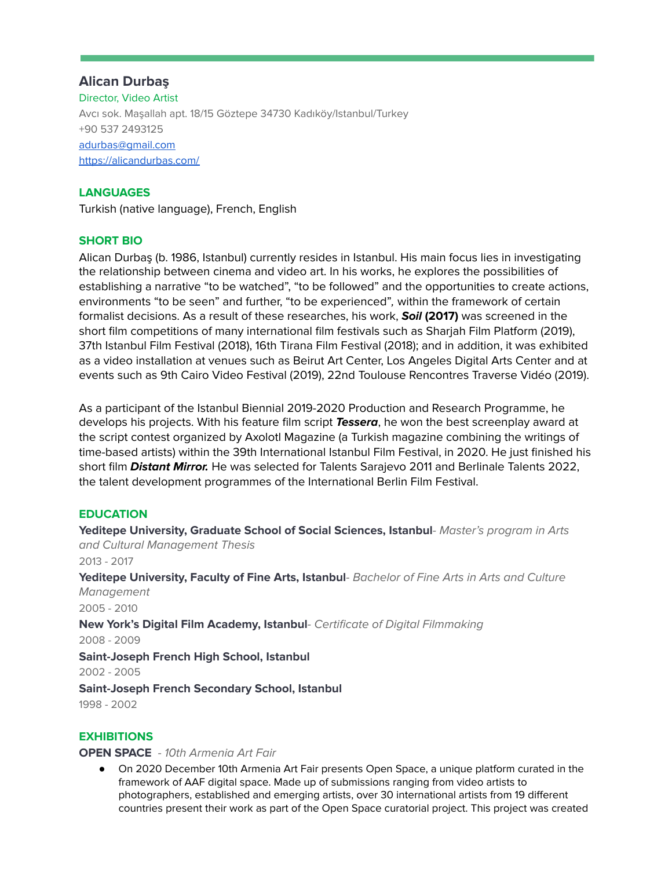# **Alican Durbaş**

Director, Video Artist Avcı sok. Maşallah apt. 18/15 Göztepe 34730 Kadıköy/Istanbul/Turkey +90 537 2493125 [adurbas@gmail.com](mailto:adurbas@gmail.com) <https://alicandurbas.com/>

## **LANGUAGES**

Turkish (native language), French, English

## **SHORT BIO**

Alican Durbaş (b. 1986, Istanbul) currently resides in Istanbul. His main focus lies in investigating the relationship between cinema and video art. In his works, he explores the possibilities of establishing a narrative "to be watched", "to be followed" and the opportunities to create actions, environments "to be seen" and further, "to be experienced", within the framework of certain formalist decisions. As a result of these researches, his work, **Soil (2017)** was screened in the short film competitions of many international film festivals such as Sharjah Film Platform (2019), 37th Istanbul Film Festival (2018), 16th Tirana Film Festival (2018); and in addition, it was exhibited as a video installation at venues such as Beirut Art Center, Los Angeles Digital Arts Center and at events such as 9th Cairo Video Festival (2019), 22nd Toulouse Rencontres Traverse Vidéo (2019).

As a participant of the Istanbul Biennial 2019-2020 Production and Research Programme, he develops his projects. With his feature film script **Tessera**, he won the best screenplay award at the script contest organized by Axolotl Magazine (a Turkish magazine combining the writings of time-based artists) within the 39th International Istanbul Film Festival, in 2020. He just finished his short film **Distant Mirror.** He was selected for Talents Sarajevo 2011 and Berlinale Talents 2022, the talent development programmes of the International Berlin Film Festival.

## **EDUCATION**

**Yeditepe University, Graduate School of Social Sciences, Istanbul**- Master's program in Arts and Cultural Management Thesis 2013 - 2017 **Yeditepe University, Faculty of Fine Arts, Istanbul**- Bachelor of Fine Arts in Arts and Culture Management 2005 - 2010 **New York's Digital Film Academy, Istanbul**- Certificate of Digital Filmmaking 2008 - 2009 **Saint-Joseph French High School, Istanbul** 2002 - 2005 **Saint-Joseph French Secondary School, Istanbul** 1998 - 2002

## **EXHIBITIONS**

#### **OPEN SPACE** - 10th Armenia Art Fair

● On 2020 December 10th Armenia Art Fair presents Open Space, a unique platform curated in the framework of AAF digital space. Made up of submissions ranging from video artists to photographers, established and emerging artists, over 30 international artists from 19 different countries present their work as part of the Open Space curatorial project. This project was created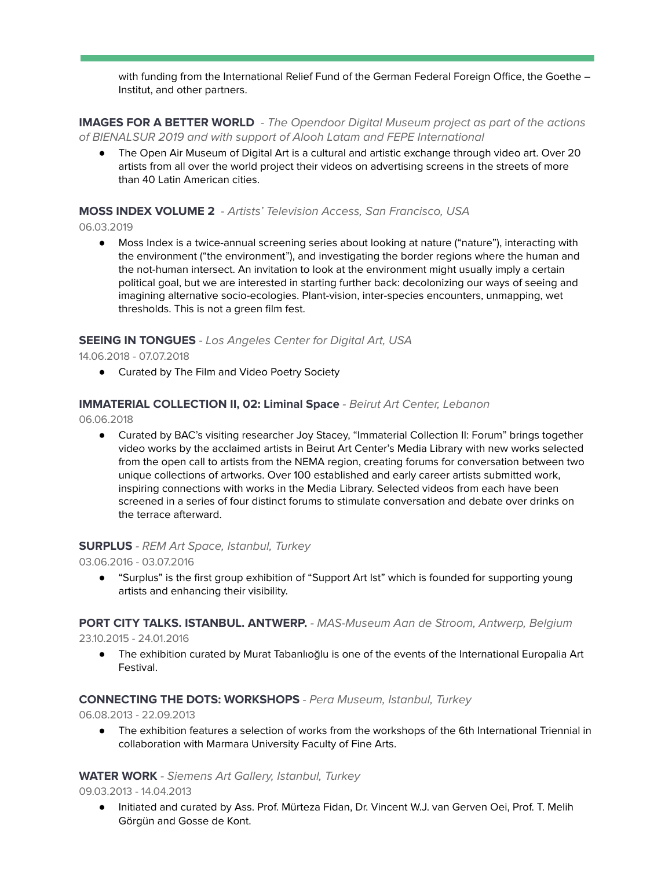with funding from the International Relief Fund of the German Federal Foreign Office, the Goethe -Institut, and other partners.

**IMAGES FOR A BETTER WORLD** - The Opendoor Digital Museum project as part of the actions of BIENALSUR 2019 and with support of Alooh Latam and FEPE International

● The Open Air Museum of Digital Art is a cultural and artistic exchange through video art. Over 20 artists from all over the world project their videos on advertising screens in the streets of more than 40 Latin American cities.

## **MOSS INDEX VOLUME 2** - Artists' Television Access, San Francisco, USA

06.03.2019

Moss Index is a twice-annual screening series about looking at nature ("nature"), interacting with the environment ("the environment"), and investigating the border regions where the human and the not-human intersect. An invitation to look at the environment might usually imply a certain political goal, but we are interested in starting further back: decolonizing our ways of seeing and imagining alternative socio-ecologies. Plant-vision, inter-species encounters, unmapping, wet thresholds. This is not a green film fest.

#### **SEEING IN TONGUES** - Los Angeles Center for Digital Art, USA

14.06.2018 - 07.07.2018

● Curated by The Film and Video Poetry Society

#### **IMMATERIAL COLLECTION II, 02: Liminal Space** - Beirut Art Center, Lebanon

06.06.2018

● Curated by BAC's visiting researcher Joy Stacey, "Immaterial Collection II: Forum" brings together video works by the acclaimed artists in Beirut Art Center's Media Library with new works selected from the open call to artists from the NEMA region, creating forums for conversation between two unique collections of artworks. Over 100 established and early career artists submitted work, inspiring connections with works in the Media Library. Selected videos from each have been screened in a series of four distinct forums to stimulate conversation and debate over drinks on the terrace afterward.

#### **SURPLUS** - REM Art Space, Istanbul, Turkey

03.06.2016 - 03.07.2016

● "Surplus" is the first group exhibition of "Support Art Ist" which is founded for supporting young artists and enhancing their visibility.

# **PORT CITY TALKS. ISTANBUL. ANTWERP.** - MAS-Museum Aan de Stroom, Antwerp, Belgium

23.10.2015 - 24.01.2016

● The exhibition curated by Murat Tabanlıoğlu is one of the events of the International Europalia Art Festival.

#### **CONNECTING THE DOTS: WORKSHOPS** - Pera Museum, Istanbul, Turkey

06.08.2013 - 22.09.2013

● The exhibition features a selection of works from the workshops of the 6th International Triennial in collaboration with Marmara University Faculty of Fine Arts.

#### **WATER WORK** - Siemens Art Gallery, Istanbul, Turkey

09.03.2013 - 14.04.2013

● Initiated and curated by Ass. Prof. Mürteza Fidan, Dr. Vincent W.J. van Gerven Oei, Prof. T. Melih Görgün and Gosse de Kont.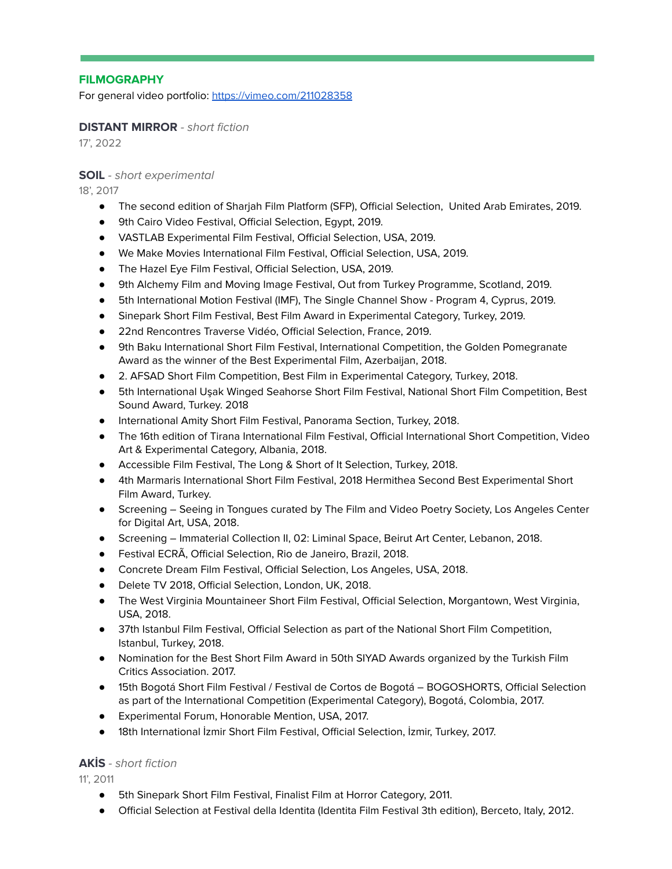## **FILMOGRAPHY**

For general video portfolio: <https://vimeo.com/211028358>

#### **DISTANT MIRROR** - short fiction

17', 2022

#### **SOIL** - short experimental

18', 2017

- The second edition of Sharjah Film Platform (SFP), Official Selection, United Arab Emirates, 2019.
- 9th Cairo Video Festival, Official Selection, Egypt, 2019.
- VASTLAB Experimental Film Festival, Official Selection, USA, 2019.
- We Make Movies International Film Festival, Official Selection, USA, 2019.
- The Hazel Eye Film Festival, Official Selection, USA, 2019.
- 9th Alchemy Film and Moving Image Festival, Out from Turkey Programme, Scotland, 2019.
- 5th International Motion Festival (IMF), The Single Channel Show Program 4, Cyprus, 2019.
- Sinepark Short Film Festival, Best Film Award in Experimental Category, Turkey, 2019.
- 22nd Rencontres Traverse Vidéo, Official Selection, France, 2019.
- 9th Baku International Short Film Festival, International Competition, the Golden Pomegranate Award as the winner of the Best Experimental Film, Azerbaijan, 2018.
- 2. AFSAD Short Film Competition, Best Film in Experimental Category, Turkey, 2018.
- 5th International Usak Winged Seahorse Short Film Festival, National Short Film Competition, Best Sound Award, Turkey. 2018
- International Amity Short Film Festival, Panorama Section, Turkey, 2018.
- The 16th edition of Tirana International Film Festival, Official International Short Competition, Video Art & Experimental Category, Albania, 2018.
- Accessible Film Festival, The Long & Short of It Selection, Turkey, 2018.
- 4th Marmaris International Short Film Festival, 2018 Hermithea Second Best Experimental Short Film Award, Turkey.
- Screening Seeing in Tongues curated by The Film and Video Poetry Society, Los Angeles Center for Digital Art, USA, 2018.
- Screening Immaterial Collection II, 02: Liminal Space, Beirut Art Center, Lebanon, 2018.
- Festival ECRÃ, Official Selection, Rio de Janeiro, Brazil, 2018.
- Concrete Dream Film Festival, Official Selection, Los Angeles, USA, 2018.
- Delete TV 2018, Official Selection, London, UK, 2018.
- The West Virginia Mountaineer Short Film Festival, Official Selection, Morgantown, West Virginia, USA, 2018.
- 37th Istanbul Film Festival, Official Selection as part of the National Short Film Competition, Istanbul, Turkey, 2018.
- Nomination for the Best Short Film Award in 50th SIYAD Awards organized by the Turkish Film Critics Association. 2017.
- 15th Bogotá Short Film Festival / Festival de Cortos de Bogotá BOGOSHORTS, Official Selection as part of the International Competition (Experimental Category), Bogotá, Colombia, 2017.
- Experimental Forum, Honorable Mention, USA, 2017.
- 18th International İzmir Short Film Festival, Official Selection, İzmir, Turkey, 2017.

#### **AKİS** - short fiction

11', 2011

- 5th Sinepark Short Film Festival, Finalist Film at Horror Category, 2011.
- Official Selection at Festival della Identita (Identita Film Festival 3th edition), Berceto, Italy, 2012.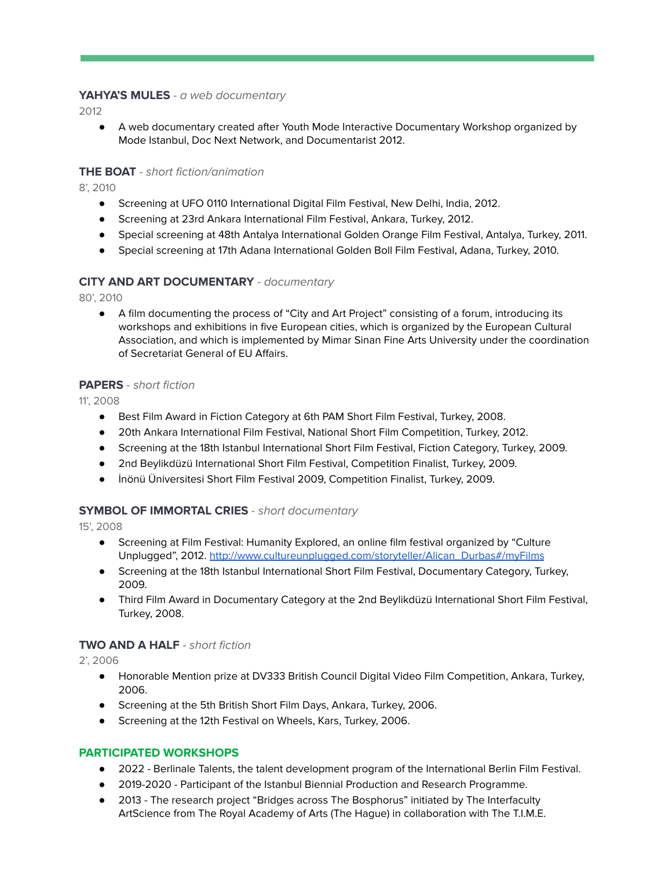## **YAHYA'S MULES** - a web documentary

2012

● A web documentary created after Youth Mode Interactive Documentary Workshop organized by Mode Istanbul, Doc Next Network, and Documentarist 2012.

## **THE BOAT** - short fiction/animation

8', 2010

- Screening at UFO 0110 International Digital Film Festival, New Delhi, India, 2012.
- Screening at 23rd Ankara International Film Festival, Ankara, Turkey, 2012.
- Special screening at 48th Antalya International Golden Orange Film Festival, Antalya, Turkey, 2011.
- Special screening at 17th Adana International Golden Boll Film Festival, Adana, Turkey, 2010.

#### **CITY AND ART DOCUMENTARY** - documentary

80', 2010

● A film documenting the process of "City and Art Project" consisting of a forum, introducing its workshops and exhibitions in five European cities, which is organized by the European Cultural Association, and which is implemented by Mimar Sinan Fine Arts University under the coordination of Secretariat General of EU Affairs.

#### **PAPERS** - short fiction

11', 2008

- Best Film Award in Fiction Category at 6th PAM Short Film Festival, Turkey, 2008.
- 20th Ankara International Film Festival, National Short Film Competition, Turkey, 2012.
- Screening at the 18th Istanbul International Short Film Festival, Fiction Category, Turkey, 2009.
- 2nd Beylikdüzü International Short Film Festival, Competition Finalist, Turkey, 2009.
- İnönü Üniversitesi Short Film Festival 2009, Competition Finalist, Turkey, 2009.

#### **SYMBOL OF IMMORTAL CRIES** - short documentary

15', 2008

- Screening at Film Festival: Humanity Explored, an online film festival organized by "Culture Unplugged", 2012. [http://www.cultureunplugged.com/storyteller/Alican\\_Durbas#/myFilms](http://www.cultureunplugged.com/storyteller/Alican_Durbas#/myFilms)
- Screening at the 18th Istanbul International Short Film Festival, Documentary Category, Turkey, 2009.
- Third Film Award in Documentary Category at the 2nd Beylikdüzü International Short Film Festival, Turkey, 2008.

#### **TWO AND A HALF** - short fiction

2', 2006

- Honorable Mention prize at DV333 British Council Digital Video Film Competition, Ankara, Turkey, 2006.
- Screening at the 5th British Short Film Days, Ankara, Turkey, 2006.
- Screening at the 12th Festival on Wheels, Kars, Turkey, 2006.

#### **PARTICIPATED WORKSHOPS**

- 2022 Berlinale Talents, the talent development program of the International Berlin Film Festival.
- 2019-2020 Participant of the Istanbul Biennial Production and Research Programme.
- 2013 The research project "Bridges across The Bosphorus" initiated by The Interfaculty ArtScience from The Royal Academy of Arts (The Hague) in collaboration with The T.I.M.E.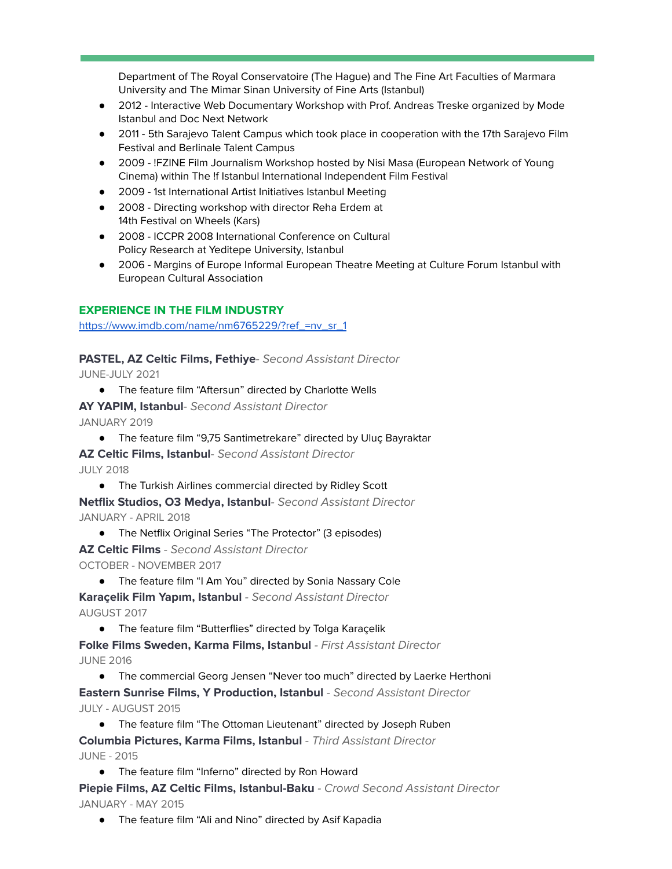Department of The Royal Conservatoire (The Hague) and The Fine Art Faculties of Marmara University and The Mimar Sinan University of Fine Arts (Istanbul)

- 2012 Interactive Web Documentary Workshop with Prof. Andreas Treske organized by Mode Istanbul and Doc Next Network
- 2011 5th Sarajevo Talent Campus which took place in cooperation with the 17th Sarajevo Film Festival and Berlinale Talent Campus
- 2009 !FZINE Film Journalism Workshop hosted by Nisi Masa (European Network of Young Cinema) within The !f Istanbul International Independent Film Festival
- 2009 1st International Artist Initiatives Istanbul Meeting
- 2008 Directing workshop with director Reha Erdem at 14th Festival on Wheels (Kars)
- 2008 ICCPR 2008 International Conference on Cultural Policy Research at Yeditepe University, Istanbul
- 2006 Margins of Europe Informal European Theatre Meeting at Culture Forum Istanbul with European Cultural Association

#### **EXPERIENCE IN THE FILM INDUSTRY**

[https://www.imdb.com/name/nm6765229/?ref\\_=nv\\_sr\\_1](https://www.imdb.com/name/nm6765229/?ref_=nv_sr_1)

#### **PASTEL, AZ Celtic Films, Fethiye**- Second Assistant Director

JUNE-JULY 2021

● The feature film "Aftersun" directed by Charlotte Wells

**AY YAPIM, Istanbul**- Second Assistant Director JANUARY 2019

● The feature film "9,75 Santimetrekare" directed by Uluç Bayraktar

**AZ Celtic Films, Istanbul**- Second Assistant Director

JULY 2018

● The Turkish Airlines commercial directed by Ridley Scott

**Netflix Studios, O3 Medya, Istanbul**- Second Assistant Director JANUARY - APRIL 2018

- The Netflix Original Series "The Protector" (3 episodes)
- **AZ Celtic Films** Second Assistant Director

OCTOBER - NOVEMBER 2017

● The feature film "I Am You" directed by Sonia Nassary Cole

**Karaçelik Film Yapım, Istanbul** - Second Assistant Director AUGUST 2017

● The feature film "Butterflies" directed by Tolga Karaçelik

**Folke Films Sweden, Karma Films, Istanbul** - First Assistant Director JUNE 2016

● The commercial Georg Jensen "Never too much" directed by Laerke Herthoni

**Eastern Sunrise Films, Y Production, Istanbul** - Second Assistant Director JULY - AUGUST 2015

● The feature film "The Ottoman Lieutenant" directed by Joseph Ruben

**Columbia Pictures, Karma Films, Istanbul** - Third Assistant Director JUNE - 2015

● The feature film "Inferno" directed by Ron Howard

**Piepie Films, AZ Celtic Films, Istanbul-Baku** - Crowd Second Assistant Director JANUARY - MAY 2015

● The feature film "Ali and Nino" directed by Asif Kapadia